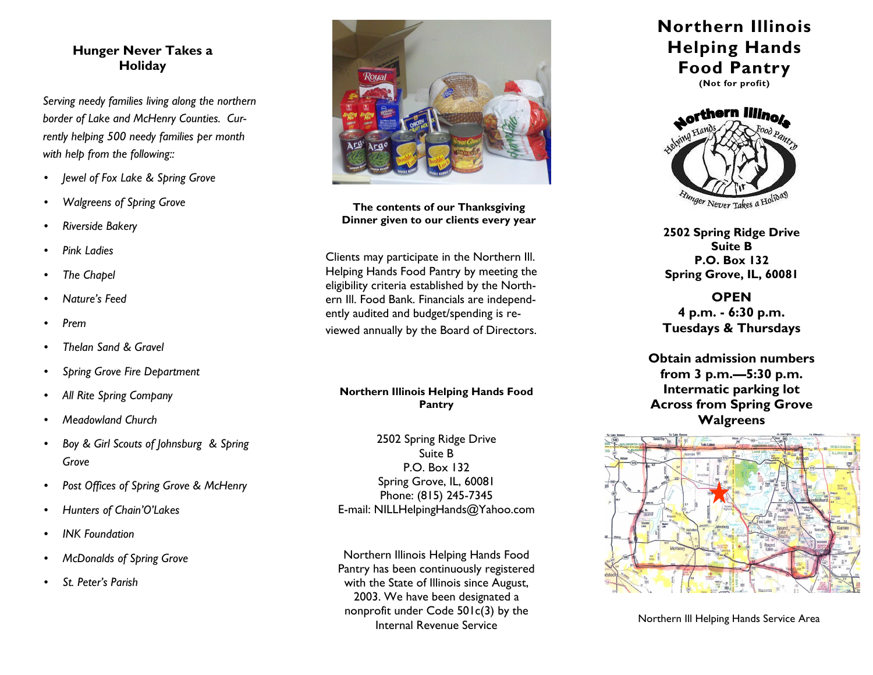## **Hunger Never Takes a Holiday**

*Serving needy families living along the northern border of Lake and McHenry Counties. Currently helping 500 needy families per month with help from the following::* 

- *Jewel of Fox Lake & Spring Grove*
- *Walgreens of Spring Grove*
- *Riverside Bakery*
- *Pink Ladies*
- *The Chapel*
- *Nature's Feed*
- *Prem*
- *Thelan Sand & Gravel*
- *Spring Grove Fire Department*
- *All Rite Spring Company*
- *Meadowland Church*
- *Boy & Girl Scouts of Johnsburg & Spring Grove*
- *Post Offices of Spring Grove & McHenry*
- *Hunters of Chain'O'Lakes*
- *INK Foundation*
- *McDonalds of Spring Grove*
- *St. Peter's Parish*



**The contents of our Thanksgiving Dinner given to our clients every year** 

Clients may participate in the Northern Ill. Helping Hands Food Pantry by meeting the eligibility criteria established by the Northern Ill. Food Bank. Financials are independently audited and budget/spending is reviewed annually by the Board of Directors.

#### **Northern Illinois Helping Hands Food Pantry**

2502 Spring Ridge Drive Suite B P.O. Box 132 Spring Grove, IL, 60081 Phone: (815) 245-7345 E-mail: NILLHelpingHands@Yahoo.com

Northern Illinois Helping Hands Food Pantry has been continuously registered with the State of Illinois since August, 2003. We have been designated a nonprofit under Code 501c(3) by the Internal Revenue Service

# **Northern Illinois Helping Hands Food Pantry**





**2502 Spring Ridge Drive Suite B P.O. Box 132 Spring Grove, IL, 60081** 

**OPEN 4 p.m. - 6:30 p.m. Tuesdays & Thursdays** 

**Obtain admission numbers from 3 p.m.—5:30 p.m. Intermatic parking lot Across from Spring Grove Walgreens** 



Northern Ill Helping Hands Service Area